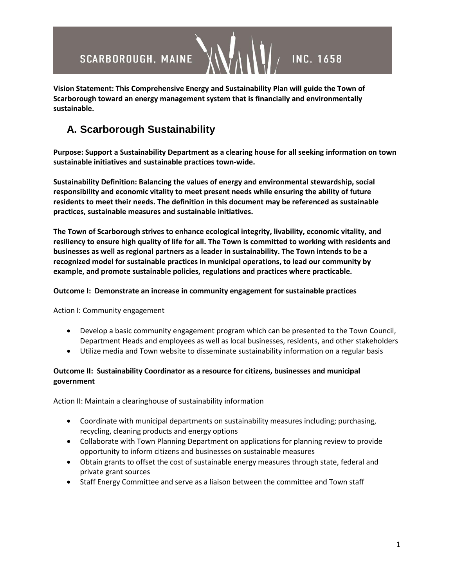

**Vision Statement: This Comprehensive Energy and Sustainability Plan will guide the Town of Scarborough toward an energy management system that is financially and environmentally sustainable.**

## **A. Scarborough Sustainability**

**Purpose: Support a Sustainability Department as a clearing house for all seeking information on town sustainable initiatives and sustainable practices town-wide.**

**Sustainability Definition: Balancing the values of energy and environmental stewardship, social responsibility and economic vitality to meet present needs while ensuring the ability of future residents to meet their needs. The definition in this document may be referenced as sustainable practices, sustainable measures and sustainable initiatives.**

**The Town of Scarborough strives to enhance ecological integrity, livability, economic vitality, and resiliency to ensure high quality of life for all. The Town is committed to working with residents and businesses as well as regional partners as a leader in sustainability. The Town intends to be a recognized model for sustainable practices in municipal operations, to lead our community by example, and promote sustainable policies, regulations and practices where practicable.** 

## **Outcome I: Demonstrate an increase in community engagement for sustainable practices**

Action I: Community engagement

- Develop a basic community engagement program which can be presented to the Town Council, Department Heads and employees as well as local businesses, residents, and other stakeholders
- Utilize media and Town website to disseminate sustainability information on a regular basis

## **Outcome II: Sustainability Coordinator as a resource for citizens, businesses and municipal government**

Action II: Maintain a clearinghouse of sustainability information

- Coordinate with municipal departments on sustainability measures including; purchasing, recycling, cleaning products and energy options
- Collaborate with Town Planning Department on applications for planning review to provide opportunity to inform citizens and businesses on sustainable measures
- Obtain grants to offset the cost of sustainable energy measures through state, federal and private grant sources
- Staff Energy Committee and serve as a liaison between the committee and Town staff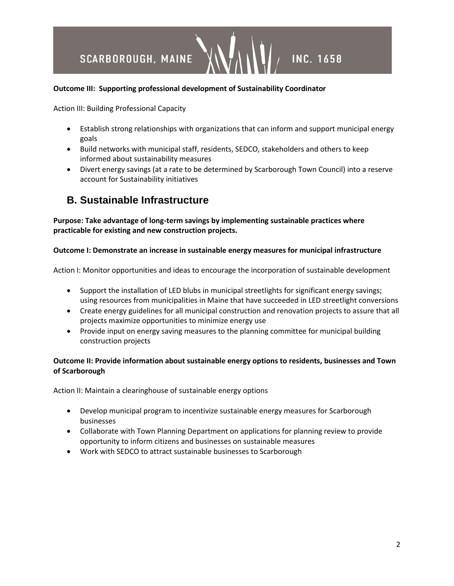# **SCARBOROUGH, MAINE INC. 1658**

## **Outcome III: Supporting professional development of Sustainability Coordinator**

Action III: Building Professional Capacity

- Establish strong relationships with organizations that can inform and support municipal energy goals
- Build networks with municipal staff, residents, SEDCO, stakeholders and others to keep informed about sustainability measures
- Divert energy savings (at a rate to be determined by Scarborough Town Council) into a reserve account for Sustainability initiatives

## **B. Sustainable Infrastructure**

**Purpose: Take advantage of long-term savings by implementing sustainable practices where practicable for existing and new construction projects.** 

### **Outcome I: Demonstrate an increase in sustainable energy measures for municipal infrastructure**

Action I: Monitor opportunities and ideas to encourage the incorporation of sustainable development

- Support the installation of LED blubs in municipal streetlights for significant energy savings; using resources from municipalities in Maine that have succeeded in LED streetlight conversions
- Create energy guidelines for all municipal construction and renovation projects to assure that all projects maximize opportunities to minimize energy use
- Provide input on energy saving measures to the planning committee for municipal building construction projects

## **Outcome II: Provide information about sustainable energy options to residents, businesses and Town of Scarborough**

Action II: Maintain a clearinghouse of sustainable energy options

- Develop municipal program to incentivize sustainable energy measures for Scarborough businesses
- Collaborate with Town Planning Department on applications for planning review to provide opportunity to inform citizens and businesses on sustainable measures
- Work with SEDCO to attract sustainable businesses to Scarborough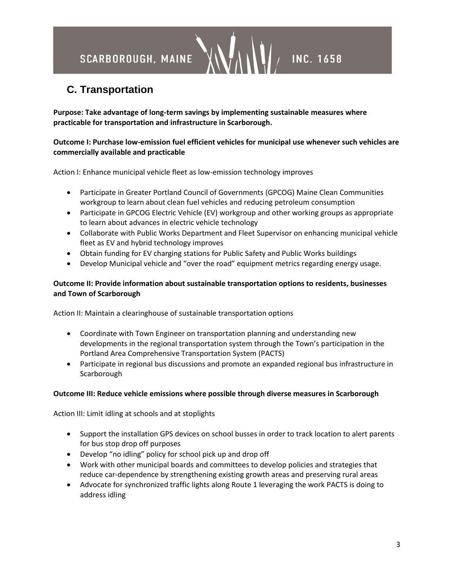## SCARBOROUGH, MAINE

## **C. Transportation**

**Purpose: Take advantage of long-term savings by implementing sustainable measures where practicable for transportation and infrastructure in Scarborough.**

## **Outcome I: Purchase low-emission fuel efficient vehicles for municipal use whenever such vehicles are commercially available and practicable**

**INC. 1658** 

Action I: Enhance municipal vehicle fleet as low-emission technology improves

- Participate in Greater Portland Council of Governments (GPCOG) Maine Clean Communities workgroup to learn about clean fuel vehicles and reducing petroleum consumption
- Participate in GPCOG Electric Vehicle (EV) workgroup and other working groups as appropriate to learn about advances in electric vehicle technology
- Collaborate with Public Works Department and Fleet Supervisor on enhancing municipal vehicle fleet as EV and hybrid technology improves
- Obtain funding for EV charging stations for Public Safety and Public Works buildings
- Develop Municipal vehicle and "over the road" equipment metrics regarding energy usage.

## **Outcome II: Provide information about sustainable transportation options to residents, businesses and Town of Scarborough**

Action II: Maintain a clearinghouse of sustainable transportation options

- Coordinate with Town Engineer on transportation planning and understanding new developments in the regional transportation system through the Town's participation in the Portland Area Comprehensive Transportation System (PACTS)
- Participate in regional bus discussions and promote an expanded regional bus infrastructure in Scarborough

### **Outcome III: Reduce vehicle emissions where possible through diverse measures in Scarborough**

Action III: Limit idling at schools and at stoplights

- Support the installation GPS devices on school busses in order to track location to alert parents for bus stop drop off purposes
- Develop "no idling" policy for school pick up and drop off
- Work with other municipal boards and committees to develop policies and strategies that reduce car-dependence by strengthening existing growth areas and preserving rural areas
- Advocate for synchronized traffic lights along Route 1 leveraging the work PACTS is doing to address idling